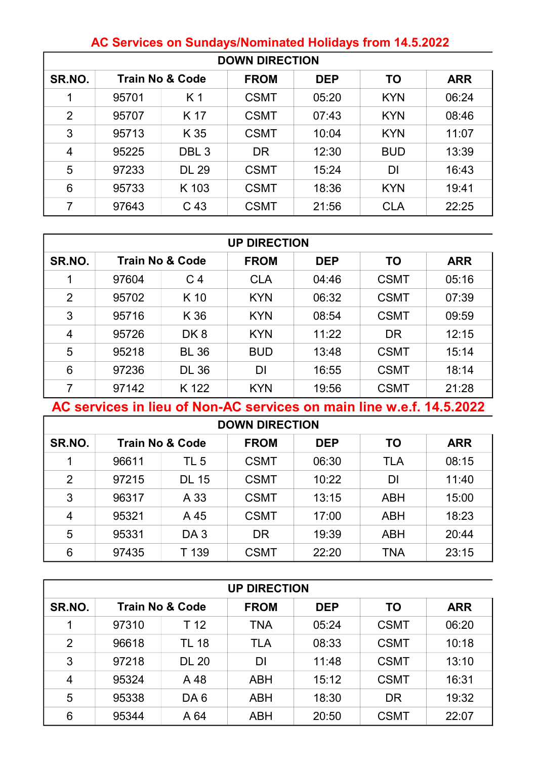| <b>DOWN DIRECTION</b> |       |                            |             |            |            |            |  |  |  |
|-----------------------|-------|----------------------------|-------------|------------|------------|------------|--|--|--|
| SR.NO.                |       | <b>Train No &amp; Code</b> | <b>FROM</b> | <b>DEP</b> | <b>TO</b>  | <b>ARR</b> |  |  |  |
| 1                     | 95701 | K <sub>1</sub>             | <b>CSMT</b> | 05:20      | <b>KYN</b> | 06:24      |  |  |  |
| $\overline{2}$        | 95707 | K 17                       | <b>CSMT</b> | 07:43      | <b>KYN</b> | 08:46      |  |  |  |
| 3                     | 95713 | K 35                       | <b>CSMT</b> | 10:04      | <b>KYN</b> | 11:07      |  |  |  |
| $\overline{4}$        | 95225 | DBL <sub>3</sub>           | <b>DR</b>   | 12:30      | <b>BUD</b> | 13:39      |  |  |  |
| 5                     | 97233 | <b>DL 29</b>               | <b>CSMT</b> | 15:24      | DI         | 16:43      |  |  |  |
| 6                     | 95733 | K 103                      | <b>CSMT</b> | 18:36      | <b>KYN</b> | 19:41      |  |  |  |
| $\overline{7}$        | 97643 | C 43                       | <b>CSMT</b> | 21:56      | <b>CLA</b> | 22:25      |  |  |  |

## AC Services on Sundays/Nominated Holidays from 14.5.2022

| <b>UP DIRECTION</b> |                            |                 |             |            |             |            |  |  |
|---------------------|----------------------------|-----------------|-------------|------------|-------------|------------|--|--|
| SR.NO.              | <b>Train No &amp; Code</b> |                 | <b>FROM</b> | <b>DEP</b> | <b>TO</b>   | <b>ARR</b> |  |  |
| 1                   | 97604                      | C <sub>4</sub>  | <b>CLA</b>  | 04:46      | <b>CSMT</b> | 05:16      |  |  |
| $\overline{2}$      | 95702                      | K 10            | <b>KYN</b>  | 06:32      | <b>CSMT</b> | 07:39      |  |  |
| 3                   | 95716                      | K 36            | <b>KYN</b>  | 08:54      | <b>CSMT</b> | 09:59      |  |  |
| 4                   | 95726                      | DK <sub>8</sub> | <b>KYN</b>  | 11:22      | <b>DR</b>   | 12:15      |  |  |
| 5                   | 95218                      | <b>BL 36</b>    | <b>BUD</b>  | 13:48      | <b>CSMT</b> | 15:14      |  |  |
| 6                   | 97236                      | <b>DL 36</b>    | DI          | 16:55      | <b>CSMT</b> | 18:14      |  |  |
| 7                   | 97142                      | K 122           | <b>KYN</b>  | 19:56      | <b>CSMT</b> | 21:28      |  |  |

AC services in lieu of Non-AC services on main line w.e.f. 14.5.2022

 $\Gamma$ 

| <b>DOWN DIRECTION</b> |                            |                 |                           |       |            |            |  |  |  |
|-----------------------|----------------------------|-----------------|---------------------------|-------|------------|------------|--|--|--|
| SR.NO.                | <b>Train No &amp; Code</b> |                 | <b>FROM</b><br><b>DEP</b> |       | <b>TO</b>  | <b>ARR</b> |  |  |  |
| 1                     | 96611                      | TL <sub>5</sub> | <b>CSMT</b>               | 06:30 | <b>TLA</b> | 08:15      |  |  |  |
| $\overline{2}$        | 97215                      | <b>DL 15</b>    | <b>CSMT</b>               | 10:22 | DI         | 11:40      |  |  |  |
| 3                     | 96317                      | A 33            | <b>CSMT</b>               | 13:15 | <b>ABH</b> | 15:00      |  |  |  |
| $\overline{4}$        | 95321                      | A 45            | <b>CSMT</b>               | 17:00 | <b>ABH</b> | 18:23      |  |  |  |
| 5                     | 95331                      | DA <sub>3</sub> | <b>DR</b>                 | 19:39 | <b>ABH</b> | 20:44      |  |  |  |
| 6                     | 97435                      | T 139           | <b>CSMT</b>               | 22:20 | <b>TNA</b> | 23:15      |  |  |  |

| <b>UP DIRECTION</b> |                            |                 |             |            |             |            |  |  |  |
|---------------------|----------------------------|-----------------|-------------|------------|-------------|------------|--|--|--|
| SR.NO.              | <b>Train No &amp; Code</b> |                 | <b>FROM</b> | <b>DEP</b> | <b>TO</b>   | <b>ARR</b> |  |  |  |
|                     | 97310                      | T 12            | <b>TNA</b>  | 05:24      | <b>CSMT</b> | 06:20      |  |  |  |
| $\overline{2}$      | 96618                      | <b>TL 18</b>    | <b>TLA</b>  | 08:33      | <b>CSMT</b> | 10:18      |  |  |  |
| 3                   | 97218                      | <b>DL 20</b>    |             | 11:48      | <b>CSMT</b> | 13:10      |  |  |  |
| $\overline{4}$      | 95324                      | A 48            | <b>ABH</b>  | 15:12      | <b>CSMT</b> | 16:31      |  |  |  |
| 5                   | 95338                      | DA <sub>6</sub> | ABH         | 18:30      | <b>DR</b>   | 19:32      |  |  |  |
| 6                   | 95344                      | A 64            | <b>ABH</b>  | 20:50      | <b>CSMT</b> | 22:07      |  |  |  |